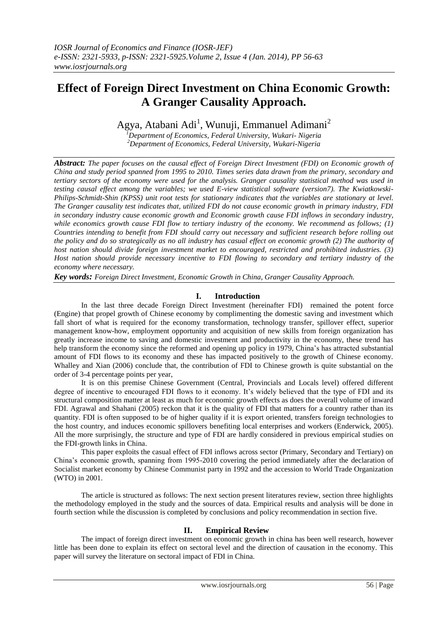# **Effect of Foreign Direct Investment on China Economic Growth: A Granger Causality Approach.**

Agya, Atabani Adi<sup>1</sup>, Wunuji, Emmanuel Adimani<sup>2</sup>

*<sup>1</sup>Department of Economics, Federal University, Wukari- Nigeria <sup>2</sup>Department of Economics, Federal University, Wukari-Nigeria* 

*Abstract: The paper focuses on the causal effect of Foreign Direct Investment (FDI) on Economic growth of China and study period spanned from 1995 to 2010. Times series data drawn from the primary, secondary and tertiary sectors of the economy were used for the analysis. Granger causality statistical method was used in testing causal effect among the variables; we used E-view statistical software (version7). The Kwiatkowski-Philips-Schmidt-Shin (KPSS) unit root tests for stationary indicates that the variables are stationary at level. The Granger causality test indicates that, utilized FDI do not cause economic growth in primary industry, FDI in secondary industry cause economic growth and Economic growth cause FDI inflows in secondary industry, while economics growth cause FDI flow to tertiary industry of the economy. We recommend as follows; (1) Countries intending to benefit from FDI should carry out necessary and sufficient research before rolling out the policy and do so strategically as no all industry has casual effect on economic growth (2) The authority of host nation should divide foreign investment market to encouraged, restricted and prohibited industries. (3) Host nation should provide necessary incentive to FDI flowing to secondary and tertiary industry of the economy where necessary.* 

*Key words: Foreign Direct Investment, Economic Growth in China, Granger Causality Approach.* 

# **I. Introduction**

In the last three decade Foreign Direct Investment (hereinafter FDI) remained the potent force (Engine) that propel growth of Chinese economy by complimenting the domestic saving and investment which fall short of what is required for the economy transformation, technology transfer, spillover effect, superior management know-how, employment opportunity and acquisition of new skills from foreign organization has greatly increase income to saving and domestic investment and productivity in the economy, these trend has help transform the economy since the reformed and opening up policy in 1979, China's has attracted substantial amount of FDI flows to its economy and these has impacted positively to the growth of Chinese economy. Whalley and Xian (2006) conclude that, the contribution of FDI to Chinese growth is quite substantial on the order of 3-4 percentage points per year,

It is on this premise Chinese Government (Central, Provincials and Locals level) offered different degree of incentive to encouraged FDI flows to it economy. It's widely believed that the type of FDI and its structural composition matter at least as much for economic growth effects as does the overall volume of inward FDI. Agrawal and Shahani (2005) reckon that it is the quality of FDI that matters for a country rather than its quantity. FDI is often supposed to be of higher quality if it is export oriented, transfers foreign technologies to the host country, and induces economic spillovers benefiting local enterprises and workers (Enderwick, 2005). All the more surprisingly, the structure and type of FDI are hardly considered in previous empirical studies on the FDI-growth links in China.

This paper exploits the casual effect of FDI inflows across sector (Primary, Secondary and Tertiary) on China's economic growth, spanning from 1995-2010 covering the period immediately after the declaration of Socialist market economy by Chinese Communist party in 1992 and the accession to World Trade Organization (WTO) in 2001.

The article is structured as follows: The next section present literatures review, section three highlights the methodology employed in the study and the sources of data. Empirical results and analysis will be done in fourth section while the discussion is completed by conclusions and policy recommendation in section five.

## **II. Empirical Review**

The impact of foreign direct investment on economic growth in china has been well research, however little has been done to explain its effect on sectoral level and the direction of causation in the economy. This paper will survey the literature on sectoral impact of FDI in China.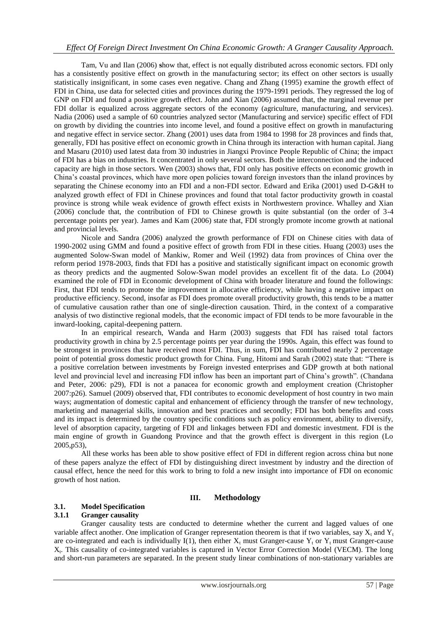# *Effect Of Foreign Direct Investment On China Economic Growth: A Granger Causality Approach.*

Tam, Vu and Ilan (2006) **s**how that, effect is not equally distributed across economic sectors. FDI only has a consistently positive effect on growth in the manufacturing sector; its effect on other sectors is usually statistically insignificant, in some cases even negative. Chang and Zhang (1995) examine the growth effect of FDI in China, use data for selected cities and provinces during the 1979-1991 periods. They regressed the log of GNP on FDI and found a positive growth effect. John and Xian (2006) assumed that, the marginal revenue per FDI dollar is equalized across aggregate sectors of the economy (agriculture, manufacturing, and services). Nadia (2006) used a sample of 60 countries analyzed sector (Manufacturing and service) specific effect of FDI on growth by dividing the countries into income level, and found a positive effect on growth in manufacturing and negative effect in service sector. Zhang (2001) uses data from 1984 to 1998 for 28 provinces and finds that, generally, FDI has positive effect on economic growth in China through its interaction with human capital. Jiang and Masaru (2010) used latest data from 30 industries in Jiangxi Province People Republic of China; the impact of FDI has a bias on industries. It concentrated in only several sectors. Both the interconnection and the induced capacity are high in those sectors. Wen (2003) shows that, FDI only has positive effects on economic growth in China's coastal provinces, which have more open policies toward foreign investors than the inland provinces by separating the Chinese economy into an FDI and a non-FDI sector. Edward and Erika (2001) used D-G&H to analyzed growth effect of FDI in Chinese provinces and found that total factor productivity growth in coastal province is strong while weak evidence of growth effect exists in Northwestern province. Whalley and Xian (2006) conclude that, the contribution of FDI to Chinese growth is quite substantial (on the order of 3-4 percentage points per year). James and Kam (2006) state that, FDI strongly promote income growth at national and provincial levels.

Nicole and Sandra (2006) analyzed the growth performance of FDI on Chinese cities with data of 1990-2002 using GMM and found a positive effect of growth from FDI in these cities. Huang (2003) uses the augmented Solow-Swan model of Mankiw, Romer and Weil (1992) data from provinces of China over the reform period 1978-2003, finds that FDI has a positive and statistically significant impact on economic growth as theory predicts and the augmented Solow-Swan model provides an excellent fit of the data. Lo (2004) examined the role of FDI in Economic development of China with broader literature and found the followings: First, that FDI tends to promote the improvement in allocative efficiency, while having a negative impact on productive efficiency. Second, insofar as FDI does promote overall productivity growth, this tends to be a matter of cumulative causation rather than one of single-direction causation. Third, in the context of a comparative analysis of two distinctive regional models, that the economic impact of FDI tends to be more favourable in the inward-looking, capital-deepening pattern.

In an empirical research, Wanda and Harm (2003) suggests that FDI has raised total factors productivity growth in china by 2.5 percentage points per year during the 1990s. Again, this effect was found to be strongest in provinces that have received most FDI. Thus, in sum, FDI has contributed nearly 2 percentage point of potential gross domestic product growth for China. Fung, Hitomi and Sarah (2002) state that: "There is a positive correlation between investments by Foreign invested enterprises and GDP growth at both national level and provincial level and increasing FDI inflow has been an important part of China's growth". (Chandana and Peter, 2006: p29), FDI is not a panacea for economic growth and employment creation (Christopher 2007:p26). Samuel (2009) observed that, FDI contributes to economic development of host country in two main ways; augmentation of domestic capital and enhancement of efficiency through the transfer of new technology, marketing and managerial skills, innovation and best practices and secondly; FDI has both benefits and costs and its impact is determined by the country specific conditions such as policy environment, ability to diversify, level of absorption capacity, targeting of FDI and linkages between FDI and domestic investment. FDI is the main engine of growth in Guandong Province and that the growth effect is divergent in this region (Lo 2005,p53),

All these works has been able to show positive effect of FDI in different region across china but none of these papers analyze the effect of FDI by distinguishing direct investment by industry and the direction of causal effect, hence the need for this work to bring to fold a new insight into importance of FDI on economic growth of host nation.

## **III. Methodology**

## **3.1. Model Specification**

## **3.1.1 Granger causality**

Granger causality tests are conducted to determine whether the current and lagged values of one variable affect another. One implication of Granger representation theorem is that if two variables, say  $X_t$  and  $Y_t$ are co-integrated and each is individually I(1), then either  $X_t$  must Granger-cause  $Y_t$  or  $Y_t$  must Granger-cause X<sub>t</sub>. This causality of co-integrated variables is captured in Vector Error Correction Model (VECM). The long and short-run parameters are separated. In the present study linear combinations of non-stationary variables are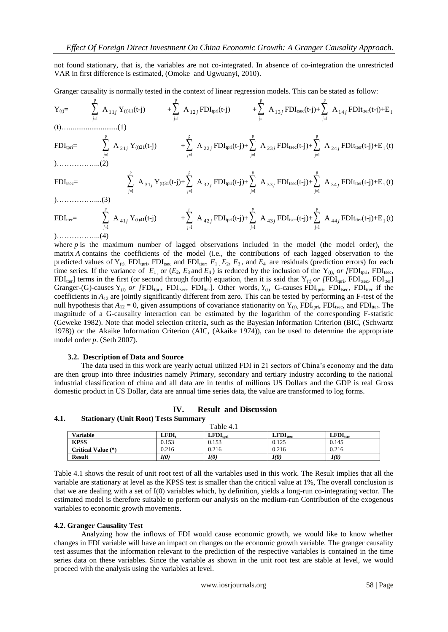not found stationary, that is, the variables are not co-integrated. In absence of co-integration the unrestricted VAR in first difference is estimated, (Omoke and Ugwuanyi, 2010).

Granger causality is normally tested in the context of linear regression models. This can be stated as follow:

$$
Y_{(t)} = \sum_{j=1}^{p} A_{11j} Y_{(t)11}(t-j) + \sum_{j=1}^{p} A_{12j} FDI_{tpri}(t-j) + \sum_{j=1}^{p} A_{13j} FDI_{tsec}(t-j) + \sum_{j=1}^{p} A_{14j} FDI_{tter}(t-j) + E_{1}
$$
  
(t).................(1)

$$
\text{FDI}_{\text{tpri}} = \sum_{j=1}^{p} A_{21j} Y_{(t)21} (t-j) + \sum_{j=1}^{p} A_{22j} \text{FDI}_{\text{tpri}}(t-j) + \sum_{j=1}^{p} A_{23j} \text{FDI}_{\text{tsec}}(t-j) + \sum_{j=1}^{p} A_{24j} \text{FDI}_{\text{tter}}(t-j) + E_{1}(t)
$$

$$
\text{FDI}_{\text{tsec}} = \sum_{j=1}^{p} A_{31j} Y_{(t)31}(t-j) + \sum_{j=1}^{p} A_{32j} \text{FDI}_{\text{tpri}}(t-j) + \sum_{j=1}^{p} A_{33j} \text{FDI}_{\text{tsec}}(t-j) + \sum_{j=1}^{p} A_{34j} \text{FDI}_{\text{tter}}(t-j) + E_{1}(t)
$$

$$
). \dots . \dots . \dots . . (3)
$$

$$
FDI_{tter} = \sum_{j=1}^{p} A_{41j} Y_{(t)41}(t-j) + \sum_{j=1}^{p} A_{42j} FDI_{tpri}(t-j) + \sum_{j=1}^{p} A_{43j} FDI_{tsec}(t-j) + \sum_{j=1}^{p} A_{44j} FDI_{tter}(t-j) + E_1(t)
$$

)……………...(4)

where *p* is the maximum number of lagged observations included in the model (the model order), the matrix *A* contains the coefficients of the model (i.e., the contributions of each lagged observation to the predicted values of  $Y_{(t)}$ ,  $FDI_{\text{tpre}}$ ,  $FDI_{\text{tsec}}$  and  $FDI_{\text{tter}}$ ,  $E_1$ ,  $E_2$ ,  $E_3$ , and  $E_4$  are residuals (prediction errors) for each time series. If the variance of  $E_1$  or  $(E_2, E_3$  and  $E_4$ ) is reduced by the inclusion of the Y<sub>(t)</sub> *or [FDI*<sub>tpri</sub>, *FDI*<sub>tsec</sub>,  $FDI_{\text{tter}}$ ] terms in the first (or second through fourth) equation, then it is said that  $Y_{(t)}$  *or [FDI*<sub>tori</sub>, *FDI*<sub>tsec</sub>, *FDI*<sub>tter</sub>] Granger-(G)-causes  $Y_{(t)}$  *or [FDI<sub>tpri</sub>, FDI<sub>tsec</sub>, FDI<sub>tter</sub>]. Other words,*  $Y_{(t)}$  *G-causes FDI<sub>tpri</sub>, FDI<sub>tsec</sub>, FDI<sub>tter</sub> if the* coefficients in *A*<sup>12</sup> are jointly significantly different from zero. This can be tested by performing an F-test of the null hypothesis that  $A_{12} = 0$ , given assumptions of [covariance](http://www.scholarpedia.org/article/Covariance) stationarity on  $Y_{(t)}$ , FDI<sub>tpri</sub>, FDI<sub>tsec</sub>, and FDI<sub>tter</sub>. The magnitude of a G-causality interaction can be estimated by the logarithm of the corresponding F-statistic (Geweke 1982). Note that model selection criteria, such as the [Bayesian](http://www.scholarpedia.org/article/Bayesian_statistics) Information Criterion (BIC, (Schwartz 1978)) or the Akaike Information Criterion (AIC, (Akaike 1974)), can be used to determine the appropriate model order *p*. (Seth 2007).

#### **3.2. Description of Data and Source**

The data used in this work are yearly actual utilized FDI in 21 sectors of China's economy and the data are then group into three industries namely Primary, secondary and tertiary industry according to the national industrial classification of china and all data are in tenths of millions US Dollars and the GDP is real Gross domestic product in US Dollar, data are annual time series data, the value are transformed to log forms.

## **IV. Result and Discussion**

**4.1. Stationary (Unit Root) Tests Summary** Table 4.1

| <b>Variable</b>           | LFDI. | $\mathbf{LFDI}_{\text{tori}}$ | $\mathbf{LFDI}_{\text{tsec}}$ | $\mathbf{LFDI}_{\text{tter}}$ |
|---------------------------|-------|-------------------------------|-------------------------------|-------------------------------|
| <b>KPSS</b>               | 0.153 | 0.153                         | 0.125                         | 0.145                         |
| <b>Critical Value</b> (*) | 0.216 | 0.216                         | 0.216                         | 0.216                         |
| <b>Result</b>             | I(0)  | I(0)                          | I(0)                          | I(0)                          |

Table 4.1 shows the result of unit root test of all the variables used in this work. The Result implies that all the variable are stationary at level as the KPSS test is smaller than the critical value at 1%, The overall conclusion is that we are dealing with a set of I(0) variables which, by definition, yields a long-run co-integrating vector. The estimated model is therefore suitable to perform our analysis on the medium-run Contribution of the exogenous variables to economic growth movements.

#### **4.2. Granger Causality Test**

Analyzing how the inflows of FDI would cause economic growth, we would like to know whether changes in FDI variable will have an impact on changes on the economic growth variable. The granger causality test assumes that the information relevant to the prediction of the respective variables is contained in the time series data on these variables. Since the variable as shown in the unit root test are stable at level, we would proceed with the analysis using the variables at level.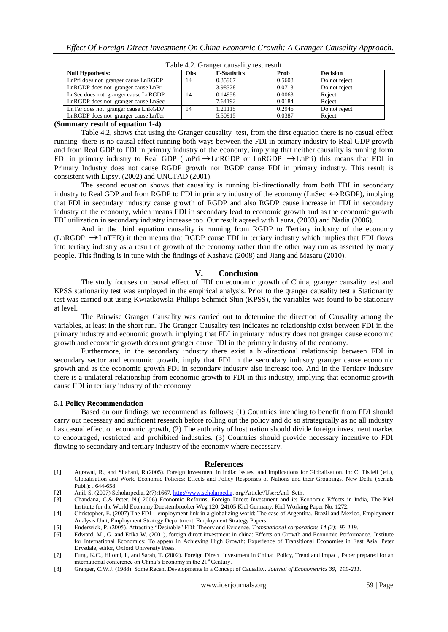| Tuote 1121 Oranger causant, test result |            |                     |        |                 |
|-----------------------------------------|------------|---------------------|--------|-----------------|
| <b>Null Hypothesis:</b>                 | <b>Obs</b> | <b>F-Statistics</b> | Prob   | <b>Decision</b> |
| LnPri does not granger cause LnRGDP     | 14         | 0.35967             | 0.5608 | Do not reject   |
| LnRGDP does not granger cause LnPri     |            | 3.98328             | 0.0713 | Do not reject   |
| LnSec does not granger cause LnRGDP     | 14         | 0.14958             | 0.0063 | Reject          |
| LnRGDP does not granger cause LnSec     |            | 7.64192             | 0.0184 | Reject          |
| LnTer does not granger cause LnRGDP     | 14         | 1.21115             | 0.2946 | Do not reject   |
| LnRGDP does not granger cause LnTer     |            | 5.50915             | 0.0387 | Reject          |

Table 4.2. Granger causality test result

## **(Summary result of equation 1-4)**

Table 4.2, shows that using the Granger causality test, from the first equation there is no casual effect running there is no causal effect running both ways between the FDI in primary industry to Real GDP growth and from Real GDP to FDI in primary industry of the economy, implying that neither causality is running form FDI in primary industry to Real GDP (LnPri $\rightarrow$ LnRGDP or LnRGDP  $\rightarrow$ LnPri) this means that FDI in Primary Industry does not cause RGDP growth nor RGDP cause FDI in primary industry. This result is consistent with Lipsy, (2002) and UNCTAD (2001).

The second equation shows that causality is running bi-directionally from both FDI in secondary industry to Real GDP and from RGDP to FDI in primary industry of the economy (LnSec  $\leftrightarrow$ RGDP), implying that FDI in secondary industry cause growth of RGDP and also RGDP cause increase in FDI in secondary industry of the economy, which means FDI in secondary lead to economic growth and as the economic growth FDI utilization in secondary industry increase too. Our result agreed with Laura, (2003) and Nadia (2006).

And in the third equation causality is running from RGDP to Tertiary industry of the economy  $(LnRGDP \rightarrow LnTER)$  it then means that RGDP cause FDI in tertiary industry which implies that FDI flows into tertiary industry as a result of growth of the economy rather than the other way run as asserted by many people. This finding is in tune with the findings of Kashava (2008) and Jiang and Masaru (2010).

## **V. Conclusion**

The study focuses on causal effect of FDI on economic growth of China, granger causality test and KPSS stationarity test was employed in the empirical analysis. Prior to the granger causality test a Stationarity test was carried out using Kwiatkowski-Phillips-Schmidt-Shin (KPSS), the variables was found to be stationary at level.

The Pairwise Granger Causality was carried out to determine the direction of Causality among the variables, at least in the short run. The Granger Causality test indicates no relationship exist between FDI in the primary industry and economic growth, implying that FDI in primary industry does not granger cause economic growth and economic growth does not granger cause FDI in the primary industry of the economy.

Furthermore, in the secondary industry there exist a bi-directional relationship between FDI in secondary sector and economic growth, imply that FDI in the secondary industry granger cause economic growth and as the economic growth FDI in secondary industry also increase too. And in the Tertiary industry there is a unilateral relationship from economic growth to FDI in this industry, implying that economic growth cause FDI in tertiary industry of the economy.

## **5.1 Policy Recommendation**

Based on our findings we recommend as follows; (1) Countries intending to benefit from FDI should carry out necessary and sufficient research before rolling out the policy and do so strategically as no all industry has casual effect on economic growth, (2) The authority of host nation should divide foreign investment market to encouraged, restricted and prohibited industries. (3) Countries should provide necessary incentive to FDI flowing to secondary and tertiary industry of the economy where necessary.

#### **References**

- [1]. Agrawal, R., and Shahani, R.(2005). Foreign Investment in India: Issues and Implications for Globalisation. In: C. Tisdell (ed.), Globalisation and World Economic Policies: Effects and Policy Responses of Nations and their Groupings. New Delhi (Serials Publ.): . 644-658.
- [2]. Anil, S. (2007) Scholarpedia, 2(7):1667[. http://www.scholarpedia.](http://www.scholarpedia/) org/Article//User:Anil\_Seth.
- [3]. Chandana, C.& Peter. N.( 2006) Economic Reforms, Foreign Direct Investment and its Economic Effects in India, The Kiel Institute for the World Economy Duesternbrooker Weg 120, 24105 Kiel Germany, Kiel Working Paper No. 1272.
- [4]. Christopher, E. (2007) The FDI employment link in a globalizing world: The case of Argentina, Brazil and Mexico, Employment Analysis Unit, Employment Strategy Department, Employment Strategy Papers.
- [5]. Enderwick, P. (2005). Attracting "Desirable" FDI: Theory and Evidence. *Transnational corporations 14 (2): 93-119.*
- [6]. Edward, M., G. and Erika W. (2001), foreign direct investment in china: Effects on Growth and Economic Performance, Institute for International Economics: To appear in Achieving High Growth: Experience of Transitional Economies in East Asia, Peter Drysdale, editor, Oxford University Press.
- [7]. Fung, K.C., Hitomi, I., and Sarah, T. (2002). Foreign Direct Investment in China: Policy, Trend and Impact, Paper prepared for an international conference on China's Economy in the 21st Century.
- [8]. Granger, C.W.J. (1988). Some Recent Developments in a Concept of Causality. *Journal of Econometrics 39, 199-211.*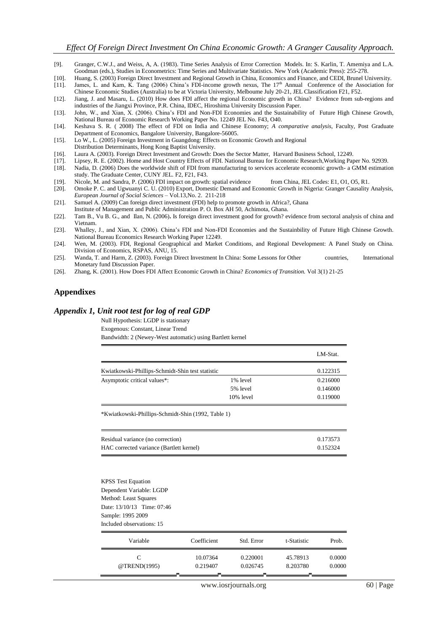- [9]. Granger, C.W.J., and Weiss, A, A. (1983). Time Series Analysis of Error Correction Models. In: S. Karlin, T. Amemiya and L.A. Goodman (eds.), Studies in Econometrics: Time Series and Multivariate Statistics. New York (Academic Press): 255-278.
- [10]. Huang, S. (2003) Foreign Direct Investment and Regional Growth in China, Economics and Finance, and CEDI, Brunel University.
- [11]. James, L. and Kam, K. Tang (2006) China's FDI-income growth nexus, The 17<sup>th</sup> Annual Conference of the Association for Chinese Economic Studies (Australia) to be at Victoria University, Melboume July 20-21, JEL Classification F21, F52.
- [12]. Jiang, J. and Masaru, L. (2010) How does FDI affect the regional Economic growth in China? Evidence from sub-regions and industries of the Jiangxi Province, P.R. China, IDEC, Hiroshima University Discussion Paper.
- [13]. John, W., and Xian, X. (2006). China's FDI and Non-FDI Economies and the Sustainability of Future High Chinese Growth, National Bureau of Economic Research Working Paper No. 12249 JEL No. F43, O40.
- [14]. Keshava S. R. ( 2008) The effect of FDI on India and Chinese Economy; *A comparative analysis*, Faculty, Post Graduate Department of Economics, Bangalore University, Bangalore-56005.
- [15]. Lo W., L. (2005) Foreign Investment in Guangdong: Effects on Economic Growth and Regional
- Distribution Determinants, Hong Kong Baptist University.
- [16]. Laura A. (2003). Foreign Direct Investment and Growth: Does the Sector Matter, Harvard Business School, 12249.
- [17]. Lipsey, R. E. (2002). Home and Host Country Effects of FDI. National Bureau for Economic Research, Working Paper No. 92939. [18]. Nadia, D. (2006) Does the worldwide shift of FDI from manufacturing to services accele Nadia, D. (2006) Does the worldwide shift of FDI from manufacturing to services accelerate economic growth- a GMM estimation study. The Graduate Center, CUNY JEL. F2, F21, F43.
- [19]. Nicole, M. and Sandra, P. (2006) FDI impact on growth: spatial evidence from China, JEL Codes: E1, O1, O5, R1.
- [20]. Omoke P. C. and Ugwuanyi C. U. (2010) Export, Domestic Demand and Economic Growth in Nigeria: Granger Causality Analysis, *European Journal of Social Sciences –* Vol.13,No. 2. 211-218
- [21]. Samuel A. (2009) Can foreign direct investment (FDI) help to promote growth in Africa?, Ghana Institute of Management and Public Administration P. O. Box AH 50, Achimota, Ghana.
- [22]. Tam B., Vu B. G., and Ilan, N. (2006)**.** Is foreign direct investment good for growth? evidence from sectoral analysis of china and Vietnam.
- [23]. Whalley, J., and Xian, X. (2006). China's FDI and Non-FDI Economies and the Sustainbility of Future High Chinese Growth. National Bureau Economics Research Working Paper 12249.
- [24]. Wen, M. (2003). FDI, Regional Geographical and Market Conditions, and Regional Development: A Panel Study on China. Division of Economics, RSPAS, ANU, 15.
- [25]. Wanda, T. and Harm, Z. (2003). Foreign Direct Investment In China: Some Lessons for Other countries, International Monetary fund Discussion Paper.
- [26]. Zhang, K. (2001). How Does FDI Affect Economic Growth in China? *Economics of Transition.* Vol 3(1) 21-25

## **Appendixes**

#### *Appendix 1, Unit root test for log of real GDP*

Null Hypothesis: LGDP is stationary Exogenous: Constant, Linear Trend

Bandwidth: 2 (Newey-West automatic) using Bartlett kernel

|                                                  |              | LM-Stat. |
|--------------------------------------------------|--------------|----------|
| Kwiatkowski-Phillips-Schmidt-Shin test statistic |              | 0.122315 |
| Asymptotic critical values*:                     | 1% level     | 0.216000 |
|                                                  | 5% level     | 0.146000 |
|                                                  | $10\%$ level | 0.119000 |
|                                                  |              |          |

\*Kwiatkowski-Phillips-Schmidt-Shin (1992, Table 1)

| 0.173573<br>Residual variance (no correction)        |  |
|------------------------------------------------------|--|
| 0.152324<br>HAC corrected variance (Bartlett kernel) |  |

| <b>KPSS Test Equation</b><br>Dependent Variable: LGDP<br>Method: Least Squares<br>Date: 13/10/13 Time: 07:46<br>Sample: 1995 2009<br>Included observations: 15 |                      |                      |                      |                  |
|----------------------------------------------------------------------------------------------------------------------------------------------------------------|----------------------|----------------------|----------------------|------------------|
| Variable                                                                                                                                                       | Coefficient          | Std. Error           | t-Statistic          | Prob.            |
| C<br>@TREND(1995)                                                                                                                                              | 10.07364<br>0.219407 | 0.220001<br>0.026745 | 45.78913<br>8.203780 | 0.0000<br>0.0000 |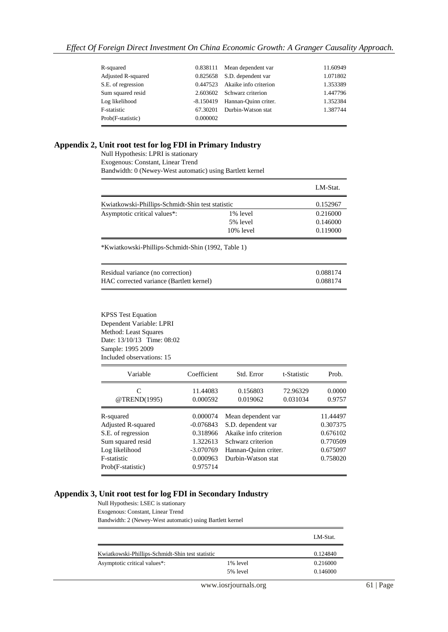| R-squared          | 0.838111  | Mean dependent var    | 11.60949 |
|--------------------|-----------|-----------------------|----------|
| Adjusted R-squared | 0.825658  | S.D. dependent var    | 1.071802 |
| S.E. of regression | 0.447523  | Akaike info criterion | 1.353389 |
| Sum squared resid  | 2.603602  | Schwarz criterion     | 1.447796 |
| Log likelihood     | -8.150419 | Hannan-Ouinn criter.  | 1.352384 |
| F-statistic        | 67.30201  | Durbin-Watson stat    | 1.387744 |
| Prob(F-statistic)  | 0.000002  |                       |          |
|                    |           |                       |          |

## **Appendix 2, Unit root test for log FDI in Primary Industry**

Null Hypothesis: LPRI is stationary Exogenous: Constant, Linear Trend Bandwidth: 0 (Newey-West automatic) using Bartlett kernel

|                                                  |              | LM-Stat. |
|--------------------------------------------------|--------------|----------|
| Kwiatkowski-Phillips-Schmidt-Shin test statistic |              | 0.152967 |
| Asymptotic critical values*:                     | 1% level     | 0.216000 |
|                                                  | 5% level     | 0.146000 |
|                                                  | $10\%$ level | 0.119000 |

\*Kwiatkowski-Phillips-Schmidt-Shin (1992, Table 1)

| Residual variance (no correction)        | 0.088174 |
|------------------------------------------|----------|
| HAC corrected variance (Bartlett kernel) | 0.088174 |

KPSS Test Equation Dependent Variable: LPRI Method: Least Squares Date: 13/10/13 Time: 08:02 Sample: 1995 2009 Included observations: 15

| Variable           | Coefficient          | Std. Error            | t-Statistic          | Prob.            |
|--------------------|----------------------|-----------------------|----------------------|------------------|
| C<br>@TREND(1995)  | 11.44083<br>0.000592 | 0.156803<br>0.019062  | 72.96329<br>0.031034 | 0.0000<br>0.9757 |
| R-squared          | 0.000074             | Mean dependent var    |                      | 11.44497         |
| Adjusted R-squared | $-0.076843$          | S.D. dependent var    |                      | 0.307375         |
| S.E. of regression | 0.318966             | Akaike info criterion |                      | 0.676102         |
| Sum squared resid  | 1.322613             | Schwarz criterion     |                      | 0.770509         |
| Log likelihood     | $-3.070769$          | Hannan-Ouinn criter.  |                      | 0.675097         |
| F-statistic        | 0.000963             | Durbin-Watson stat    |                      | 0.758020         |
| Prob(F-statistic)  | 0.975714             |                       |                      |                  |

## **Appendix 3, Unit root test for log FDI in Secondary Industry**

Null Hypothesis: LSEC is stationary Exogenous: Constant, Linear Trend Bandwidth: 2 (Newey-West automatic) using Bartlett kernel

|                                                  |          | LM-Stat. |
|--------------------------------------------------|----------|----------|
| Kwiatkowski-Phillips-Schmidt-Shin test statistic |          | 0.124840 |
| Asymptotic critical values*:                     | 1% level | 0.216000 |
|                                                  | 5% level | 0.146000 |
|                                                  |          |          |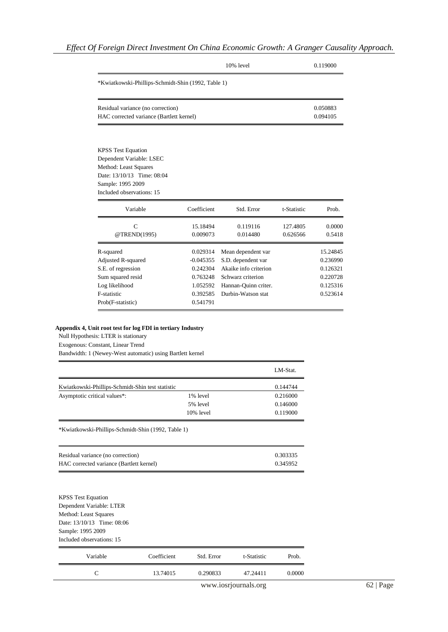|                                                                                                                                                                |                                                                                     | 10% level                                                                                                                            |                      | 0.119000                                                             |
|----------------------------------------------------------------------------------------------------------------------------------------------------------------|-------------------------------------------------------------------------------------|--------------------------------------------------------------------------------------------------------------------------------------|----------------------|----------------------------------------------------------------------|
| *Kwiatkowski-Phillips-Schmidt-Shin (1992, Table 1)                                                                                                             |                                                                                     |                                                                                                                                      |                      |                                                                      |
| Residual variance (no correction)<br>HAC corrected variance (Bartlett kernel)                                                                                  |                                                                                     |                                                                                                                                      |                      | 0.050883<br>0.094105                                                 |
| <b>KPSS Test Equation</b><br>Dependent Variable: LSEC<br>Method: Least Squares<br>Date: 13/10/13 Time: 08:04<br>Sample: 1995 2009<br>Included observations: 15 |                                                                                     |                                                                                                                                      |                      |                                                                      |
| Variable                                                                                                                                                       | Coefficient                                                                         | Std. Error                                                                                                                           | t-Statistic          | Prob.                                                                |
| $\mathcal{C}$<br>@TREND(1995)                                                                                                                                  | 15.18494<br>0.009073                                                                | 0.119116<br>0.014480                                                                                                                 | 127.4805<br>0.626566 | 0.0000<br>0.5418                                                     |
| R-squared<br>Adjusted R-squared<br>S.E. of regression<br>Sum squared resid<br>Log likelihood<br>F-statistic<br>Prob(F-statistic)                               | 0.029314<br>$-0.045355$<br>0.242304<br>0.763248<br>1.052592<br>0.392585<br>0.541791 | Mean dependent var<br>S.D. dependent var<br>Akaike info criterion<br>Schwarz criterion<br>Hannan-Quinn criter.<br>Durbin-Watson stat |                      | 15.24845<br>0.236990<br>0.126321<br>0.220728<br>0.125316<br>0.523614 |

## **Appendix 4, Unit root test for log FDI in tertiary Industry**

Null Hypothesis: LTER is stationary

Exogenous: Constant, Linear Trend

Bandwidth: 1 (Newey-West automatic) using Bartlett kernel

|                                                  |           | LM-Stat. |
|--------------------------------------------------|-----------|----------|
| Kwiatkowski-Phillips-Schmidt-Shin test statistic |           | 0.144744 |
| Asymptotic critical values*:                     | 1% level  | 0.216000 |
|                                                  | 5% level  | 0.146000 |
|                                                  | 10% level | 0.119000 |
|                                                  |           |          |
| Residual variance (no correction)                |           | 0.303335 |
| HAC corrected variance (Bartlett kernel)         |           | 0.345952 |
|                                                  |           |          |
| <b>KPSS</b> Test Equation                        |           |          |
| Dependent Variable: LTER                         |           |          |
| Method: Least Squares                            |           |          |

Method: Least Squares Date: 13/10/13 Time: 08:06 Sample: 1995 2009 Included observations: 15

| Variable | Coefficient | Std. Error | t-Statistic | Prob.  |
|----------|-------------|------------|-------------|--------|
|          | 13.74015    | 0.290833   | 47.24411    | 0.0000 |